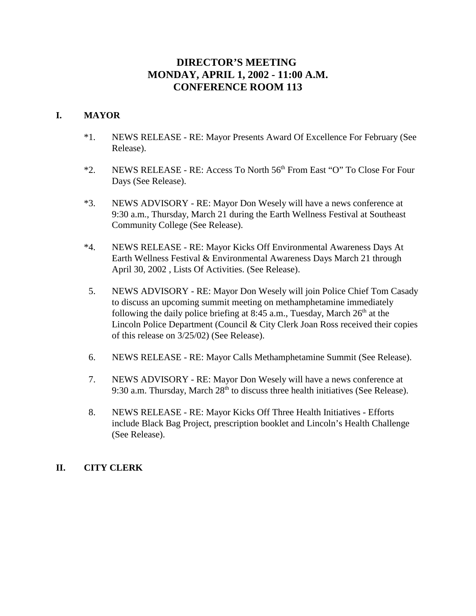# **DIRECTOR'S MEETING MONDAY, APRIL 1, 2002 - 11:00 A.M. CONFERENCE ROOM 113**

# **I. MAYOR**

- \*1. NEWS RELEASE RE: Mayor Presents Award Of Excellence For February (See Release).
- \*2. NEWS RELEASE RE: Access To North 56<sup>th</sup> From East "O" To Close For Four Days (See Release).
- \*3. NEWS ADVISORY RE: Mayor Don Wesely will have a news conference at 9:30 a.m., Thursday, March 21 during the Earth Wellness Festival at Southeast Community College (See Release).
- \*4. NEWS RELEASE RE: Mayor Kicks Off Environmental Awareness Days At Earth Wellness Festival & Environmental Awareness Days March 21 through April 30, 2002 , Lists Of Activities. (See Release).
- 5. NEWS ADVISORY RE: Mayor Don Wesely will join Police Chief Tom Casady to discuss an upcoming summit meeting on methamphetamine immediately following the daily police briefing at 8:45 a.m., Tuesday, March  $26<sup>th</sup>$  at the Lincoln Police Department (Council & City Clerk Joan Ross received their copies of this release on 3/25/02) (See Release).
- 6. NEWS RELEASE RE: Mayor Calls Methamphetamine Summit (See Release).
- 7. NEWS ADVISORY RE: Mayor Don Wesely will have a news conference at 9:30 a.m. Thursday, March  $28<sup>th</sup>$  to discuss three health initiatives (See Release).
- 8. NEWS RELEASE RE: Mayor Kicks Off Three Health Initiatives Efforts include Black Bag Project, prescription booklet and Lincoln's Health Challenge (See Release).

## **II. CITY CLERK**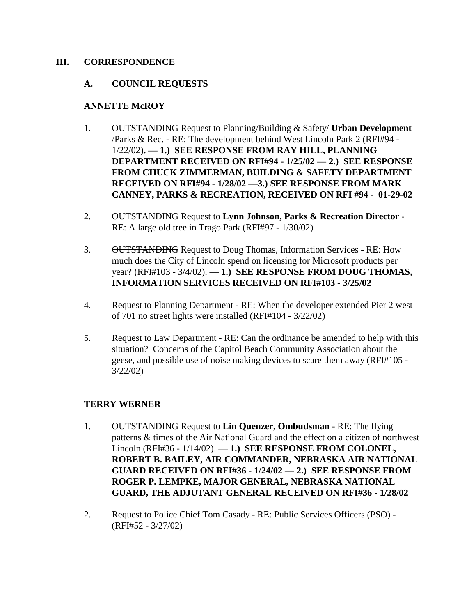## **III. CORRESPONDENCE**

## **A. COUNCIL REQUESTS**

#### **ANNETTE McROY**

- 1. OUTSTANDING Request to Planning/Building & Safety/ **Urban Development** /Parks & Rec. - RE: The development behind West Lincoln Park 2 (RFI#94 - 1/22/02)**. — 1.) SEE RESPONSE FROM RAY HILL, PLANNING DEPARTMENT RECEIVED ON RFI#94 - 1/25/02 — 2.) SEE RESPONSE FROM CHUCK ZIMMERMAN, BUILDING & SAFETY DEPARTMENT RECEIVED ON RFI#94 - 1/28/02 —3.) SEE RESPONSE FROM MARK CANNEY, PARKS & RECREATION, RECEIVED ON RFI #94 - 01-29-02**
- 2. OUTSTANDING Request to **Lynn Johnson, Parks & Recreation Director** RE: A large old tree in Trago Park (RFI#97 - 1/30/02)
- 3. OUTSTANDING Request to Doug Thomas, Information Services RE: How much does the City of Lincoln spend on licensing for Microsoft products per year? (RFI#103 - 3/4/02). — **1.) SEE RESPONSE FROM DOUG THOMAS, INFORMATION SERVICES RECEIVED ON RFI#103 - 3/25/02**
- 4. Request to Planning Department RE: When the developer extended Pier 2 west of 701 no street lights were installed (RFI#104 - 3/22/02)
- 5. Request to Law Department RE: Can the ordinance be amended to help with this situation? Concerns of the Capitol Beach Community Association about the geese, and possible use of noise making devices to scare them away (RFI#105 - 3/22/02)

## **TERRY WERNER**

- 1. OUTSTANDING Request to **Lin Quenzer, Ombudsman** RE: The flying patterns & times of the Air National Guard and the effect on a citizen of northwest Lincoln (RFI#36 - 1/14/02). — **1.) SEE RESPONSE FROM COLONEL, ROBERT B. BAILEY, AIR COMMANDER, NEBRASKA AIR NATIONAL GUARD RECEIVED ON RFI#36 - 1/24/02 — 2.) SEE RESPONSE FROM ROGER P. LEMPKE, MAJOR GENERAL, NEBRASKA NATIONAL GUARD, THE ADJUTANT GENERAL RECEIVED ON RFI#36 - 1/28/02**
- 2. Request to Police Chief Tom Casady RE: Public Services Officers (PSO) (RFI#52 - 3/27/02)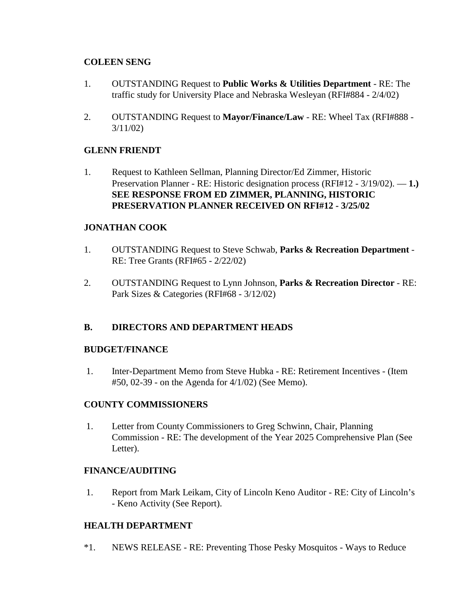## **COLEEN SENG**

- 1. OUTSTANDING Request to **Public Works & Utilities Department** RE: The traffic study for University Place and Nebraska Wesleyan (RFI#884 - 2/4/02)
- 2. OUTSTANDING Request to **Mayor/Finance/Law** RE: Wheel Tax (RFI#888 3/11/02)

## **GLENN FRIENDT**

1. Request to Kathleen Sellman, Planning Director/Ed Zimmer, Historic Preservation Planner - RE: Historic designation process (RFI#12 - 3/19/02). — **1.) SEE RESPONSE FROM ED ZIMMER, PLANNING, HISTORIC PRESERVATION PLANNER RECEIVED ON RFI#12 - 3/25/02** 

## **JONATHAN COOK**

- 1. OUTSTANDING Request to Steve Schwab, **Parks & Recreation Department** RE: Tree Grants (RFI#65 - 2/22/02)
- 2. OUTSTANDING Request to Lynn Johnson, **Parks & Recreation Director** RE: Park Sizes & Categories (RFI#68 - 3/12/02)

## **B. DIRECTORS AND DEPARTMENT HEADS**

#### **BUDGET/FINANCE**

 1. Inter-Department Memo from Steve Hubka - RE: Retirement Incentives - (Item #50, 02-39 - on the Agenda for 4/1/02) (See Memo).

#### **COUNTY COMMISSIONERS**

 1. Letter from County Commissioners to Greg Schwinn, Chair, Planning Commission - RE: The development of the Year 2025 Comprehensive Plan (See Letter).

#### **FINANCE/AUDITING**

 1. Report from Mark Leikam, City of Lincoln Keno Auditor - RE: City of Lincoln's - Keno Activity (See Report).

#### **HEALTH DEPARTMENT**

\*1. NEWS RELEASE - RE: Preventing Those Pesky Mosquitos - Ways to Reduce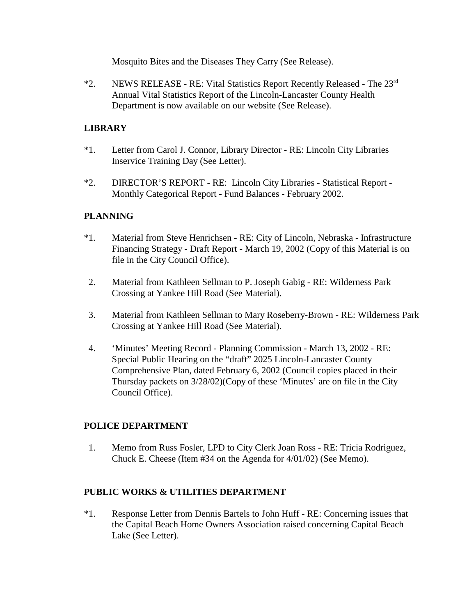Mosquito Bites and the Diseases They Carry (See Release).

\*2. NEWS RELEASE - RE: Vital Statistics Report Recently Released - The 23rd Annual Vital Statistics Report of the Lincoln-Lancaster County Health Department is now available on our website (See Release).

# **LIBRARY**

- \*1. Letter from Carol J. Connor, Library Director RE: Lincoln City Libraries Inservice Training Day (See Letter).
- \*2. DIRECTOR'S REPORT RE: Lincoln City Libraries Statistical Report Monthly Categorical Report - Fund Balances - February 2002.

# **PLANNING**

- \*1. Material from Steve Henrichsen RE: City of Lincoln, Nebraska Infrastructure Financing Strategy - Draft Report - March 19, 2002 (Copy of this Material is on file in the City Council Office).
- 2. Material from Kathleen Sellman to P. Joseph Gabig RE: Wilderness Park Crossing at Yankee Hill Road (See Material).
- 3. Material from Kathleen Sellman to Mary Roseberry-Brown RE: Wilderness Park Crossing at Yankee Hill Road (See Material).
- 4. 'Minutes' Meeting Record Planning Commission March 13, 2002 RE: Special Public Hearing on the "draft" 2025 Lincoln-Lancaster County Comprehensive Plan, dated February 6, 2002 (Council copies placed in their Thursday packets on 3/28/02)(Copy of these 'Minutes' are on file in the City Council Office).

## **POLICE DEPARTMENT**

 1. Memo from Russ Fosler, LPD to City Clerk Joan Ross - RE: Tricia Rodriguez, Chuck E. Cheese (Item #34 on the Agenda for 4/01/02) (See Memo).

## **PUBLIC WORKS & UTILITIES DEPARTMENT**

\*1. Response Letter from Dennis Bartels to John Huff - RE: Concerning issues that the Capital Beach Home Owners Association raised concerning Capital Beach Lake (See Letter).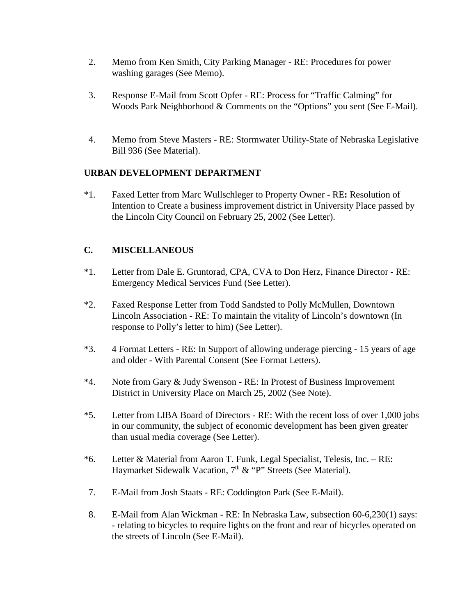- 2. Memo from Ken Smith, City Parking Manager RE: Procedures for power washing garages (See Memo).
- 3. Response E-Mail from Scott Opfer RE: Process for "Traffic Calming" for Woods Park Neighborhood & Comments on the "Options" you sent (See E-Mail).
- 4. Memo from Steve Masters RE: Stormwater Utility-State of Nebraska Legislative Bill 936 (See Material).

# **URBAN DEVELOPMENT DEPARTMENT**

\*1. Faxed Letter from Marc Wullschleger to Property Owner - RE**:** Resolution of Intention to Create a business improvement district in University Place passed by the Lincoln City Council on February 25, 2002 (See Letter).

# **C. MISCELLANEOUS**

- \*1. Letter from Dale E. Gruntorad, CPA, CVA to Don Herz, Finance Director RE: Emergency Medical Services Fund (See Letter).
- \*2. Faxed Response Letter from Todd Sandsted to Polly McMullen, Downtown Lincoln Association - RE: To maintain the vitality of Lincoln's downtown (In response to Polly's letter to him) (See Letter).
- \*3. 4 Format Letters RE: In Support of allowing underage piercing 15 years of age and older - With Parental Consent (See Format Letters).
- \*4. Note from Gary & Judy Swenson RE: In Protest of Business Improvement District in University Place on March 25, 2002 (See Note).
- \*5. Letter from LIBA Board of Directors RE: With the recent loss of over 1,000 jobs in our community, the subject of economic development has been given greater than usual media coverage (See Letter).
- \*6. Letter & Material from Aaron T. Funk, Legal Specialist, Telesis, Inc. RE: Haymarket Sidewalk Vacation, 7<sup>th</sup> & "P" Streets (See Material).
- 7. E-Mail from Josh Staats RE: Coddington Park (See E-Mail).
- 8. E-Mail from Alan Wickman RE: In Nebraska Law, subsection 60-6,230(1) says: - relating to bicycles to require lights on the front and rear of bicycles operated on the streets of Lincoln (See E-Mail).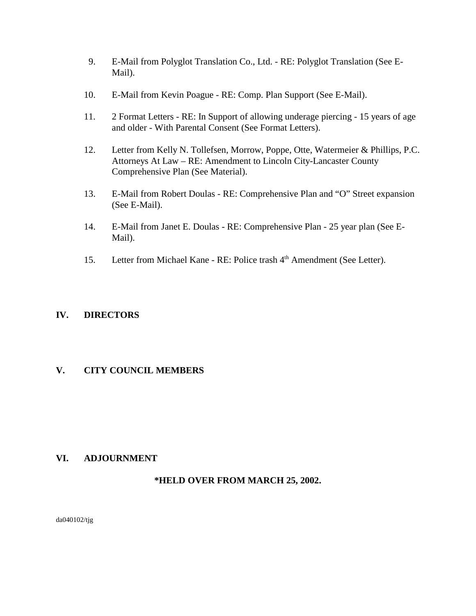- 9. E-Mail from Polyglot Translation Co., Ltd. RE: Polyglot Translation (See E-Mail).
- 10. E-Mail from Kevin Poague RE: Comp. Plan Support (See E-Mail).
- 11. 2 Format Letters RE: In Support of allowing underage piercing 15 years of age and older - With Parental Consent (See Format Letters).
- 12. Letter from Kelly N. Tollefsen, Morrow, Poppe, Otte, Watermeier & Phillips, P.C. Attorneys At Law – RE: Amendment to Lincoln City-Lancaster County Comprehensive Plan (See Material).
- 13. E-Mail from Robert Doulas RE: Comprehensive Plan and "O" Street expansion (See E-Mail).
- 14. E-Mail from Janet E. Doulas RE: Comprehensive Plan 25 year plan (See E-Mail).
- 15. Letter from Michael Kane RE: Police trash 4<sup>th</sup> Amendment (See Letter).

## **IV. DIRECTORS**

## **V. CITY COUNCIL MEMBERS**

## **VI. ADJOURNMENT**

## **\*HELD OVER FROM MARCH 25, 2002.**

da040102/tjg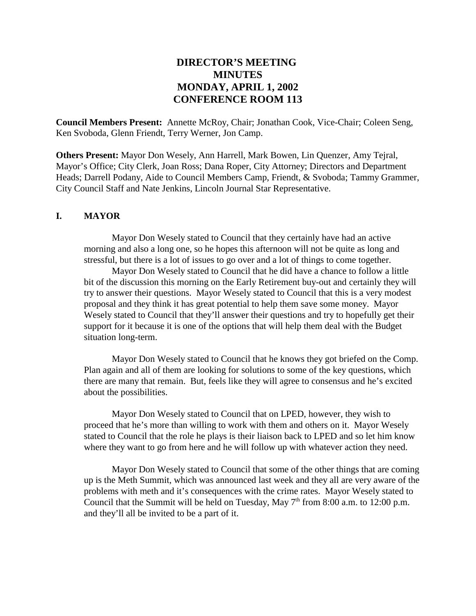# **DIRECTOR'S MEETING MINUTES MONDAY, APRIL 1, 2002 CONFERENCE ROOM 113**

**Council Members Present:** Annette McRoy, Chair; Jonathan Cook, Vice-Chair; Coleen Seng, Ken Svoboda, Glenn Friendt, Terry Werner, Jon Camp.

**Others Present:** Mayor Don Wesely, Ann Harrell, Mark Bowen, Lin Quenzer, Amy Tejral, Mayor's Office; City Clerk, Joan Ross; Dana Roper, City Attorney; Directors and Department Heads; Darrell Podany, Aide to Council Members Camp, Friendt, & Svoboda; Tammy Grammer, City Council Staff and Nate Jenkins, Lincoln Journal Star Representative.

#### **I. MAYOR**

Mayor Don Wesely stated to Council that they certainly have had an active morning and also a long one, so he hopes this afternoon will not be quite as long and stressful, but there is a lot of issues to go over and a lot of things to come together.

Mayor Don Wesely stated to Council that he did have a chance to follow a little bit of the discussion this morning on the Early Retirement buy-out and certainly they will try to answer their questions. Mayor Wesely stated to Council that this is a very modest proposal and they think it has great potential to help them save some money. Mayor Wesely stated to Council that they'll answer their questions and try to hopefully get their support for it because it is one of the options that will help them deal with the Budget situation long-term.

Mayor Don Wesely stated to Council that he knows they got briefed on the Comp. Plan again and all of them are looking for solutions to some of the key questions, which there are many that remain. But, feels like they will agree to consensus and he's excited about the possibilities.

Mayor Don Wesely stated to Council that on LPED, however, they wish to proceed that he's more than willing to work with them and others on it. Mayor Wesely stated to Council that the role he plays is their liaison back to LPED and so let him know where they want to go from here and he will follow up with whatever action they need.

Mayor Don Wesely stated to Council that some of the other things that are coming up is the Meth Summit, which was announced last week and they all are very aware of the problems with meth and it's consequences with the crime rates. Mayor Wesely stated to Council that the Summit will be held on Tuesday, May  $7<sup>th</sup>$  from 8:00 a.m. to 12:00 p.m. and they'll all be invited to be a part of it.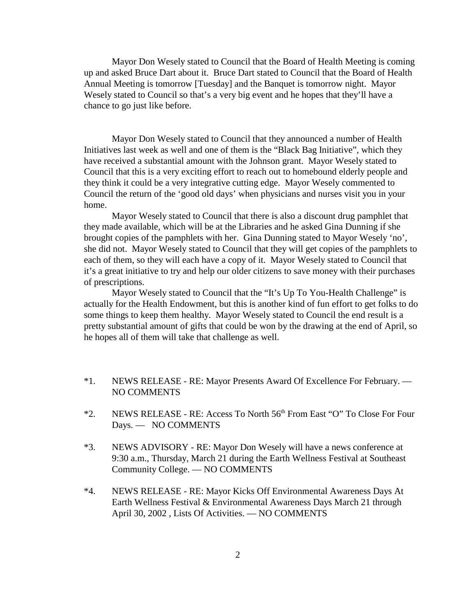Mayor Don Wesely stated to Council that the Board of Health Meeting is coming up and asked Bruce Dart about it. Bruce Dart stated to Council that the Board of Health Annual Meeting is tomorrow [Tuesday] and the Banquet is tomorrow night. Mayor Wesely stated to Council so that's a very big event and he hopes that they'll have a chance to go just like before.

Mayor Don Wesely stated to Council that they announced a number of Health Initiatives last week as well and one of them is the "Black Bag Initiative", which they have received a substantial amount with the Johnson grant. Mayor Wesely stated to Council that this is a very exciting effort to reach out to homebound elderly people and they think it could be a very integrative cutting edge. Mayor Wesely commented to Council the return of the 'good old days' when physicians and nurses visit you in your home.

Mayor Wesely stated to Council that there is also a discount drug pamphlet that they made available, which will be at the Libraries and he asked Gina Dunning if she brought copies of the pamphlets with her. Gina Dunning stated to Mayor Wesely 'no', she did not. Mayor Wesely stated to Council that they will get copies of the pamphlets to each of them, so they will each have a copy of it. Mayor Wesely stated to Council that it's a great initiative to try and help our older citizens to save money with their purchases of prescriptions.

Mayor Wesely stated to Council that the "It's Up To You-Health Challenge" is actually for the Health Endowment, but this is another kind of fun effort to get folks to do some things to keep them healthy. Mayor Wesely stated to Council the end result is a pretty substantial amount of gifts that could be won by the drawing at the end of April, so he hopes all of them will take that challenge as well.

- \*1. NEWS RELEASE RE: Mayor Presents Award Of Excellence For February. NO COMMENTS
- \*2. NEWS RELEASE RE: Access To North 56<sup>th</sup> From East "O" To Close For Four Days. — NO COMMENTS
- \*3. NEWS ADVISORY RE: Mayor Don Wesely will have a news conference at 9:30 a.m., Thursday, March 21 during the Earth Wellness Festival at Southeast Community College. — NO COMMENTS
- \*4. NEWS RELEASE RE: Mayor Kicks Off Environmental Awareness Days At Earth Wellness Festival & Environmental Awareness Days March 21 through April 30, 2002 , Lists Of Activities. — NO COMMENTS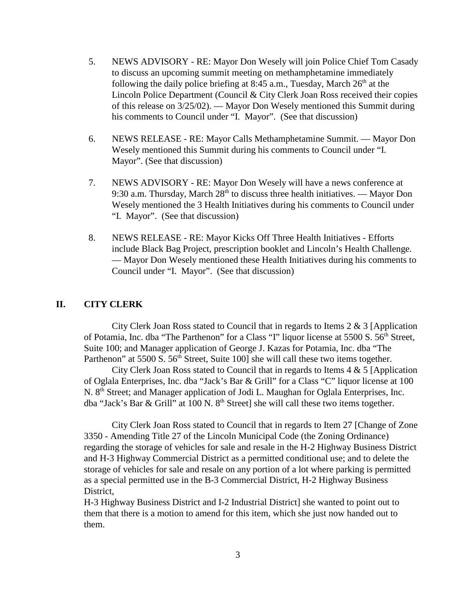- 5. NEWS ADVISORY RE: Mayor Don Wesely will join Police Chief Tom Casady to discuss an upcoming summit meeting on methamphetamine immediately following the daily police briefing at 8:45 a.m., Tuesday, March  $26<sup>th</sup>$  at the Lincoln Police Department (Council & City Clerk Joan Ross received their copies of this release on 3/25/02). — Mayor Don Wesely mentioned this Summit during his comments to Council under "I. Mayor". (See that discussion)
- 6. NEWS RELEASE RE: Mayor Calls Methamphetamine Summit. Mayor Don Wesely mentioned this Summit during his comments to Council under "I. Mayor". (See that discussion)
- 7. NEWS ADVISORY RE: Mayor Don Wesely will have a news conference at 9:30 a.m. Thursday, March  $28<sup>th</sup>$  to discuss three health initiatives. — Mayor Don Wesely mentioned the 3 Health Initiatives during his comments to Council under "I. Mayor". (See that discussion)
- 8. NEWS RELEASE RE: Mayor Kicks Off Three Health Initiatives Efforts include Black Bag Project, prescription booklet and Lincoln's Health Challenge. — Mayor Don Wesely mentioned these Health Initiatives during his comments to Council under "I. Mayor". (See that discussion)

#### **II. CITY CLERK**

City Clerk Joan Ross stated to Council that in regards to Items 2 & 3 [Application of Potamia, Inc. dba "The Parthenon" for a Class "I" liquor license at 5500 S. 56<sup>th</sup> Street, Suite 100; and Manager application of George J. Kazas for Potamia, Inc. dba "The Parthenon" at 5500 S. 56<sup>th</sup> Street, Suite 100] she will call these two items together.

City Clerk Joan Ross stated to Council that in regards to Items  $4 \& 5$  [Application] of Oglala Enterprises, Inc. dba "Jack's Bar & Grill" for a Class "C" liquor license at 100 N. 8<sup>th</sup> Street; and Manager application of Jodi L. Maughan for Oglala Enterprises, Inc. dba "Jack's Bar & Grill" at 100 N.  $8<sup>th</sup>$  Street] she will call these two items together.

City Clerk Joan Ross stated to Council that in regards to Item 27 [Change of Zone 3350 - Amending Title 27 of the Lincoln Municipal Code (the Zoning Ordinance) regarding the storage of vehicles for sale and resale in the H-2 Highway Business District and H-3 Highway Commercial District as a permitted conditional use; and to delete the storage of vehicles for sale and resale on any portion of a lot where parking is permitted as a special permitted use in the B-3 Commercial District, H-2 Highway Business District,

H-3 Highway Business District and I-2 Industrial District] she wanted to point out to them that there is a motion to amend for this item, which she just now handed out to them.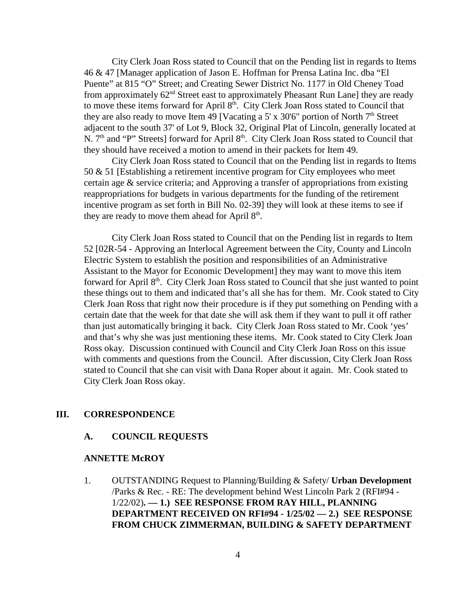City Clerk Joan Ross stated to Council that on the Pending list in regards to Items 46 & 47 [Manager application of Jason E. Hoffman for Prensa Latina Inc. dba "El Puente" at 815 "O" Street; and Creating Sewer District No. 1177 in Old Cheney Toad from approximately 62nd Street east to approximately Pheasant Run Lane] they are ready to move these items forward for April 8<sup>th</sup>. City Clerk Joan Ross stated to Council that they are also ready to move Item 49 [Vacating a 5' x  $30'6''$  portion of North  $7<sup>th</sup>$  Street adjacent to the south 37' of Lot 9, Block 32, Original Plat of Lincoln, generally located at N. 7<sup>th</sup> and "P" Streets] forward for April 8<sup>th</sup>. City Clerk Joan Ross stated to Council that they should have received a motion to amend in their packets for Item 49.

City Clerk Joan Ross stated to Council that on the Pending list in regards to Items 50 & 51 [Establishing a retirement incentive program for City employees who meet certain age & service criteria; and Approving a transfer of appropriations from existing reappropriations for budgets in various departments for the funding of the retirement incentive program as set forth in Bill No. 02-39] they will look at these items to see if they are ready to move them ahead for April  $8<sup>th</sup>$ .

City Clerk Joan Ross stated to Council that on the Pending list in regards to Item 52 [02R-54 - Approving an Interlocal Agreement between the City, County and Lincoln Electric System to establish the position and responsibilities of an Administrative Assistant to the Mayor for Economic Development] they may want to move this item forward for April 8<sup>th</sup>. City Clerk Joan Ross stated to Council that she just wanted to point these things out to them and indicated that's all she has for them. Mr. Cook stated to City Clerk Joan Ross that right now their procedure is if they put something on Pending with a certain date that the week for that date she will ask them if they want to pull it off rather than just automatically bringing it back. City Clerk Joan Ross stated to Mr. Cook 'yes' and that's why she was just mentioning these items. Mr. Cook stated to City Clerk Joan Ross okay. Discussion continued with Council and City Clerk Joan Ross on this issue with comments and questions from the Council. After discussion, City Clerk Joan Ross stated to Council that she can visit with Dana Roper about it again. Mr. Cook stated to City Clerk Joan Ross okay.

#### **III. CORRESPONDENCE**

#### **A. COUNCIL REQUESTS**

#### **ANNETTE McROY**

1. OUTSTANDING Request to Planning/Building & Safety/ **Urban Development** /Parks & Rec. - RE: The development behind West Lincoln Park 2 (RFI#94 - 1/22/02)**. — 1.) SEE RESPONSE FROM RAY HILL, PLANNING DEPARTMENT RECEIVED ON RFI#94 - 1/25/02 — 2.) SEE RESPONSE FROM CHUCK ZIMMERMAN, BUILDING & SAFETY DEPARTMENT**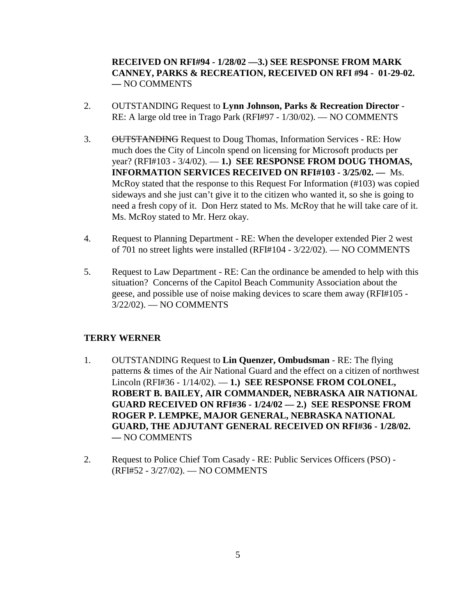## **RECEIVED ON RFI#94 - 1/28/02 —3.) SEE RESPONSE FROM MARK CANNEY, PARKS & RECREATION, RECEIVED ON RFI #94 - 01-29-02. —** NO COMMENTS

- 2. OUTSTANDING Request to **Lynn Johnson, Parks & Recreation Director** RE: A large old tree in Trago Park (RFI#97 - 1/30/02). — NO COMMENTS
- 3. OUTSTANDING Request to Doug Thomas, Information Services RE: How much does the City of Lincoln spend on licensing for Microsoft products per year? (RFI#103 - 3/4/02). — **1.) SEE RESPONSE FROM DOUG THOMAS, INFORMATION SERVICES RECEIVED ON RFI#103 - 3/25/02. —** Ms. McRoy stated that the response to this Request For Information (#103) was copied sideways and she just can't give it to the citizen who wanted it, so she is going to need a fresh copy of it. Don Herz stated to Ms. McRoy that he will take care of it. Ms. McRoy stated to Mr. Herz okay.
- 4. Request to Planning Department RE: When the developer extended Pier 2 west of 701 no street lights were installed (RFI#104 - 3/22/02). — NO COMMENTS
- 5. Request to Law Department RE: Can the ordinance be amended to help with this situation? Concerns of the Capitol Beach Community Association about the geese, and possible use of noise making devices to scare them away (RFI#105 - 3/22/02). — NO COMMENTS

#### **TERRY WERNER**

- 1. OUTSTANDING Request to **Lin Quenzer, Ombudsman** RE: The flying patterns & times of the Air National Guard and the effect on a citizen of northwest Lincoln (RFI#36 - 1/14/02). — **1.) SEE RESPONSE FROM COLONEL, ROBERT B. BAILEY, AIR COMMANDER, NEBRASKA AIR NATIONAL GUARD RECEIVED ON RFI#36 - 1/24/02 — 2.) SEE RESPONSE FROM ROGER P. LEMPKE, MAJOR GENERAL, NEBRASKA NATIONAL GUARD, THE ADJUTANT GENERAL RECEIVED ON RFI#36 - 1/28/02. —** NO COMMENTS
- 2. Request to Police Chief Tom Casady RE: Public Services Officers (PSO) (RFI#52 - 3/27/02). — NO COMMENTS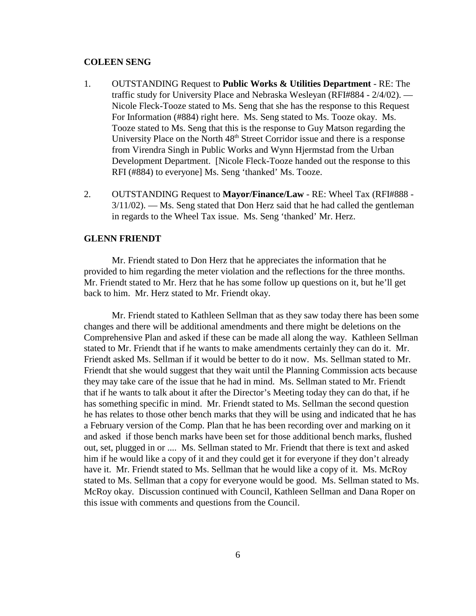#### **COLEEN SENG**

- 1. OUTSTANDING Request to **Public Works & Utilities Department** RE: The traffic study for University Place and Nebraska Wesleyan (RFI#884 - 2/4/02). — Nicole Fleck-Tooze stated to Ms. Seng that she has the response to this Request For Information (#884) right here. Ms. Seng stated to Ms. Tooze okay. Ms. Tooze stated to Ms. Seng that this is the response to Guy Matson regarding the University Place on the North 48<sup>th</sup> Street Corridor issue and there is a response from Virendra Singh in Public Works and Wynn Hjermstad from the Urban Development Department. [Nicole Fleck-Tooze handed out the response to this RFI (#884) to everyone] Ms. Seng 'thanked' Ms. Tooze.
- 2. OUTSTANDING Request to **Mayor/Finance/Law** RE: Wheel Tax (RFI#888 3/11/02). — Ms. Seng stated that Don Herz said that he had called the gentleman in regards to the Wheel Tax issue. Ms. Seng 'thanked' Mr. Herz.

#### **GLENN FRIENDT**

Mr. Friendt stated to Don Herz that he appreciates the information that he provided to him regarding the meter violation and the reflections for the three months. Mr. Friendt stated to Mr. Herz that he has some follow up questions on it, but he'll get back to him. Mr. Herz stated to Mr. Friendt okay.

Mr. Friendt stated to Kathleen Sellman that as they saw today there has been some changes and there will be additional amendments and there might be deletions on the Comprehensive Plan and asked if these can be made all along the way. Kathleen Sellman stated to Mr. Friendt that if he wants to make amendments certainly they can do it. Mr. Friendt asked Ms. Sellman if it would be better to do it now. Ms. Sellman stated to Mr. Friendt that she would suggest that they wait until the Planning Commission acts because they may take care of the issue that he had in mind. Ms. Sellman stated to Mr. Friendt that if he wants to talk about it after the Director's Meeting today they can do that, if he has something specific in mind. Mr. Friendt stated to Ms. Sellman the second question he has relates to those other bench marks that they will be using and indicated that he has a February version of the Comp. Plan that he has been recording over and marking on it and asked if those bench marks have been set for those additional bench marks, flushed out, set, plugged in or .... Ms. Sellman stated to Mr. Friendt that there is text and asked him if he would like a copy of it and they could get it for everyone if they don't already have it. Mr. Friendt stated to Ms. Sellman that he would like a copy of it. Ms. McRoy stated to Ms. Sellman that a copy for everyone would be good. Ms. Sellman stated to Ms. McRoy okay. Discussion continued with Council, Kathleen Sellman and Dana Roper on this issue with comments and questions from the Council.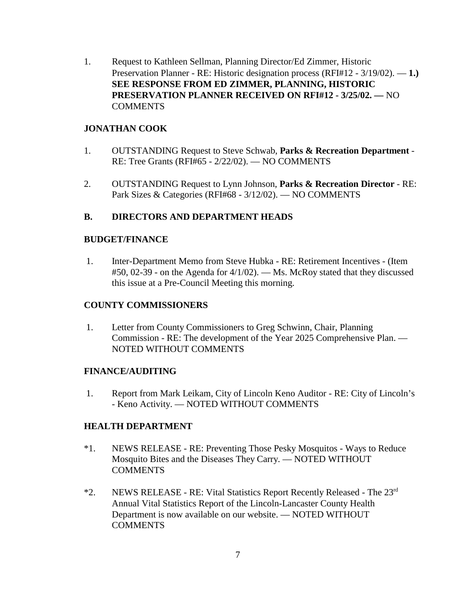1. Request to Kathleen Sellman, Planning Director/Ed Zimmer, Historic Preservation Planner - RE: Historic designation process (RFI#12 - 3/19/02). — **1.) SEE RESPONSE FROM ED ZIMMER, PLANNING, HISTORIC PRESERVATION PLANNER RECEIVED ON RFI#12 - 3/25/02. —** NO COMMENTS

## **JONATHAN COOK**

- 1. OUTSTANDING Request to Steve Schwab, **Parks & Recreation Department** RE: Tree Grants (RFI#65 - 2/22/02). — NO COMMENTS
- 2. OUTSTANDING Request to Lynn Johnson, **Parks & Recreation Director** RE: Park Sizes & Categories (RFI#68 - 3/12/02). — NO COMMENTS

## **B. DIRECTORS AND DEPARTMENT HEADS**

#### **BUDGET/FINANCE**

 1. Inter-Department Memo from Steve Hubka - RE: Retirement Incentives - (Item #50, 02-39 - on the Agenda for 4/1/02). — Ms. McRoy stated that they discussed this issue at a Pre-Council Meeting this morning.

#### **COUNTY COMMISSIONERS**

 1. Letter from County Commissioners to Greg Schwinn, Chair, Planning Commission - RE: The development of the Year 2025 Comprehensive Plan. — NOTED WITHOUT COMMENTS

#### **FINANCE/AUDITING**

 1. Report from Mark Leikam, City of Lincoln Keno Auditor - RE: City of Lincoln's - Keno Activity. — NOTED WITHOUT COMMENTS

#### **HEALTH DEPARTMENT**

- \*1. NEWS RELEASE RE: Preventing Those Pesky Mosquitos Ways to Reduce Mosquito Bites and the Diseases They Carry. — NOTED WITHOUT **COMMENTS**
- $*2.$  NEWS RELEASE RE: Vital Statistics Report Recently Released The  $23<sup>rd</sup>$ Annual Vital Statistics Report of the Lincoln-Lancaster County Health Department is now available on our website. — NOTED WITHOUT **COMMENTS**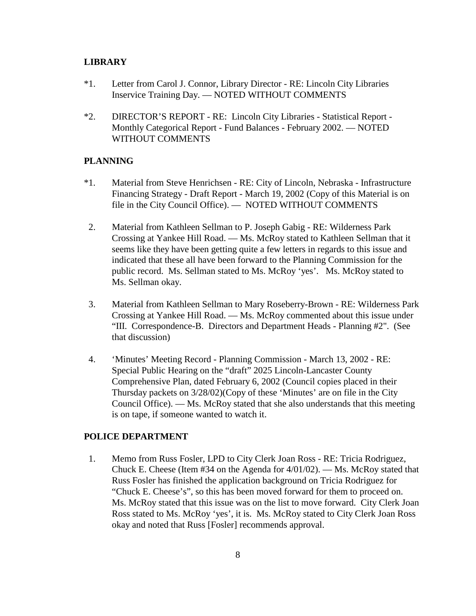#### **LIBRARY**

- \*1. Letter from Carol J. Connor, Library Director RE: Lincoln City Libraries Inservice Training Day. — NOTED WITHOUT COMMENTS
- \*2. DIRECTOR'S REPORT RE: Lincoln City Libraries Statistical Report Monthly Categorical Report - Fund Balances - February 2002. — NOTED WITHOUT COMMENTS

#### **PLANNING**

- \*1. Material from Steve Henrichsen RE: City of Lincoln, Nebraska Infrastructure Financing Strategy - Draft Report - March 19, 2002 (Copy of this Material is on file in the City Council Office). — NOTED WITHOUT COMMENTS
- 2. Material from Kathleen Sellman to P. Joseph Gabig RE: Wilderness Park Crossing at Yankee Hill Road. — Ms. McRoy stated to Kathleen Sellman that it seems like they have been getting quite a few letters in regards to this issue and indicated that these all have been forward to the Planning Commission for the public record. Ms. Sellman stated to Ms. McRoy 'yes'. Ms. McRoy stated to Ms. Sellman okay.
- 3. Material from Kathleen Sellman to Mary Roseberry-Brown RE: Wilderness Park Crossing at Yankee Hill Road. — Ms. McRoy commented about this issue under "III. Correspondence-B. Directors and Department Heads - Planning #2". (See that discussion)
- 4. 'Minutes' Meeting Record Planning Commission March 13, 2002 RE: Special Public Hearing on the "draft" 2025 Lincoln-Lancaster County Comprehensive Plan, dated February 6, 2002 (Council copies placed in their Thursday packets on 3/28/02)(Copy of these 'Minutes' are on file in the City Council Office). — Ms. McRoy stated that she also understands that this meeting is on tape, if someone wanted to watch it.

#### **POLICE DEPARTMENT**

 1. Memo from Russ Fosler, LPD to City Clerk Joan Ross - RE: Tricia Rodriguez, Chuck E. Cheese (Item #34 on the Agenda for 4/01/02). — Ms. McRoy stated that Russ Fosler has finished the application background on Tricia Rodriguez for "Chuck E. Cheese's", so this has been moved forward for them to proceed on. Ms. McRoy stated that this issue was on the list to move forward. City Clerk Joan Ross stated to Ms. McRoy 'yes', it is. Ms. McRoy stated to City Clerk Joan Ross okay and noted that Russ [Fosler] recommends approval.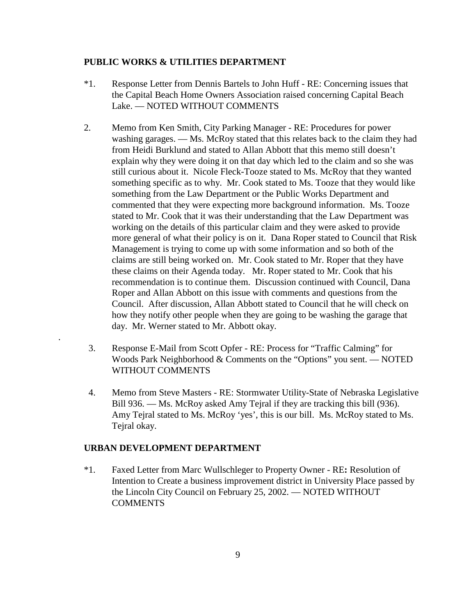#### **PUBLIC WORKS & UTILITIES DEPARTMENT**

- \*1. Response Letter from Dennis Bartels to John Huff RE: Concerning issues that the Capital Beach Home Owners Association raised concerning Capital Beach Lake. — NOTED WITHOUT COMMENTS
- 2. Memo from Ken Smith, City Parking Manager RE: Procedures for power washing garages. — Ms. McRoy stated that this relates back to the claim they had from Heidi Burklund and stated to Allan Abbott that this memo still doesn't explain why they were doing it on that day which led to the claim and so she was still curious about it. Nicole Fleck-Tooze stated to Ms. McRoy that they wanted something specific as to why. Mr. Cook stated to Ms. Tooze that they would like something from the Law Department or the Public Works Department and commented that they were expecting more background information. Ms. Tooze stated to Mr. Cook that it was their understanding that the Law Department was working on the details of this particular claim and they were asked to provide more general of what their policy is on it. Dana Roper stated to Council that Risk Management is trying to come up with some information and so both of the claims are still being worked on. Mr. Cook stated to Mr. Roper that they have these claims on their Agenda today. Mr. Roper stated to Mr. Cook that his recommendation is to continue them. Discussion continued with Council, Dana Roper and Allan Abbott on this issue with comments and questions from the Council. After discussion, Allan Abbott stated to Council that he will check on how they notify other people when they are going to be washing the garage that day. Mr. Werner stated to Mr. Abbott okay.
- 3. Response E-Mail from Scott Opfer RE: Process for "Traffic Calming" for Woods Park Neighborhood & Comments on the "Options" you sent. — NOTED WITHOUT COMMENTS
- 4. Memo from Steve Masters RE: Stormwater Utility-State of Nebraska Legislative Bill 936. — Ms. McRoy asked Amy Tejral if they are tracking this bill (936). Amy Tejral stated to Ms. McRoy 'yes', this is our bill. Ms. McRoy stated to Ms. Tejral okay.

#### **URBAN DEVELOPMENT DEPARTMENT**

.

\*1. Faxed Letter from Marc Wullschleger to Property Owner - RE**:** Resolution of Intention to Create a business improvement district in University Place passed by the Lincoln City Council on February 25, 2002. — NOTED WITHOUT COMMENTS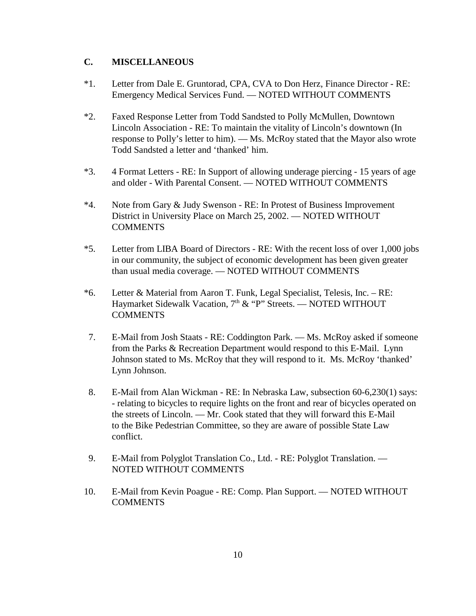#### **C. MISCELLANEOUS**

- \*1. Letter from Dale E. Gruntorad, CPA, CVA to Don Herz, Finance Director RE: Emergency Medical Services Fund. — NOTED WITHOUT COMMENTS
- \*2. Faxed Response Letter from Todd Sandsted to Polly McMullen, Downtown Lincoln Association - RE: To maintain the vitality of Lincoln's downtown (In response to Polly's letter to him). — Ms. McRoy stated that the Mayor also wrote Todd Sandsted a letter and 'thanked' him.
- \*3. 4 Format Letters RE: In Support of allowing underage piercing 15 years of age and older - With Parental Consent. — NOTED WITHOUT COMMENTS
- \*4. Note from Gary & Judy Swenson RE: In Protest of Business Improvement District in University Place on March 25, 2002. — NOTED WITHOUT **COMMENTS**
- \*5. Letter from LIBA Board of Directors RE: With the recent loss of over 1,000 jobs in our community, the subject of economic development has been given greater than usual media coverage. — NOTED WITHOUT COMMENTS
- \*6. Letter & Material from Aaron T. Funk, Legal Specialist, Telesis, Inc. RE: Haymarket Sidewalk Vacation,  $7<sup>th</sup>$  & "P" Streets. — NOTED WITHOUT COMMENTS
- 7. E-Mail from Josh Staats RE: Coddington Park. Ms. McRoy asked if someone from the Parks & Recreation Department would respond to this E-Mail. Lynn Johnson stated to Ms. McRoy that they will respond to it. Ms. McRoy 'thanked' Lynn Johnson.
- 8. E-Mail from Alan Wickman RE: In Nebraska Law, subsection 60-6,230(1) says: - relating to bicycles to require lights on the front and rear of bicycles operated on the streets of Lincoln. — Mr. Cook stated that they will forward this E-Mail to the Bike Pedestrian Committee, so they are aware of possible State Law conflict.
- 9. E-Mail from Polyglot Translation Co., Ltd. RE: Polyglot Translation. NOTED WITHOUT COMMENTS
- 10. E-Mail from Kevin Poague RE: Comp. Plan Support. NOTED WITHOUT **COMMENTS**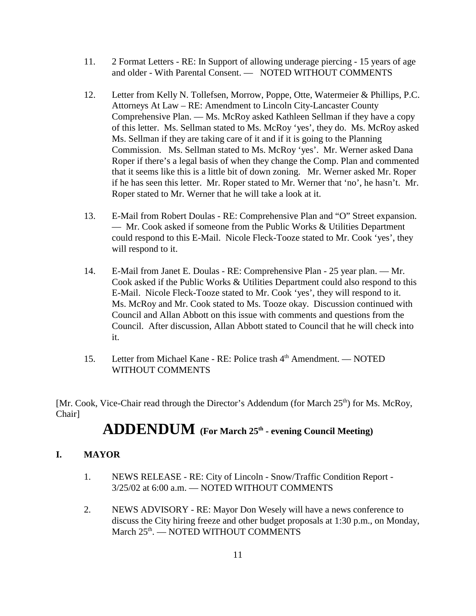- 11. 2 Format Letters RE: In Support of allowing underage piercing 15 years of age and older - With Parental Consent. — NOTED WITHOUT COMMENTS
- 12. Letter from Kelly N. Tollefsen, Morrow, Poppe, Otte, Watermeier & Phillips, P.C. Attorneys At Law – RE: Amendment to Lincoln City-Lancaster County Comprehensive Plan. — Ms. McRoy asked Kathleen Sellman if they have a copy of this letter. Ms. Sellman stated to Ms. McRoy 'yes', they do. Ms. McRoy asked Ms. Sellman if they are taking care of it and if it is going to the Planning Commission. Ms. Sellman stated to Ms. McRoy 'yes'. Mr. Werner asked Dana Roper if there's a legal basis of when they change the Comp. Plan and commented that it seems like this is a little bit of down zoning. Mr. Werner asked Mr. Roper if he has seen this letter. Mr. Roper stated to Mr. Werner that 'no', he hasn't. Mr. Roper stated to Mr. Werner that he will take a look at it.
- 13. E-Mail from Robert Doulas RE: Comprehensive Plan and "O" Street expansion. — Mr. Cook asked if someone from the Public Works & Utilities Department could respond to this E-Mail. Nicole Fleck-Tooze stated to Mr. Cook 'yes', they will respond to it.
- 14. E-Mail from Janet E. Doulas RE: Comprehensive Plan 25 year plan. Mr. Cook asked if the Public Works & Utilities Department could also respond to this E-Mail. Nicole Fleck-Tooze stated to Mr. Cook 'yes', they will respond to it. Ms. McRoy and Mr. Cook stated to Ms. Tooze okay. Discussion continued with Council and Allan Abbott on this issue with comments and questions from the Council. After discussion, Allan Abbott stated to Council that he will check into it.
- 15. Letter from Michael Kane RE: Police trash 4<sup>th</sup> Amendment. NOTED WITHOUT COMMENTS

[Mr. Cook, Vice-Chair read through the Director's Addendum (for March 25<sup>th</sup>) for Ms. McRoy, Chair]

# **ADDENDUM (For March 25th - evening Council Meeting)**

## **I. MAYOR**

- 1. NEWS RELEASE RE: City of Lincoln Snow/Traffic Condition Report 3/25/02 at 6:00 a.m. — NOTED WITHOUT COMMENTS
- 2. NEWS ADVISORY RE: Mayor Don Wesely will have a news conference to discuss the City hiring freeze and other budget proposals at 1:30 p.m., on Monday, March 25<sup>th</sup>. — NOTED WITHOUT COMMENTS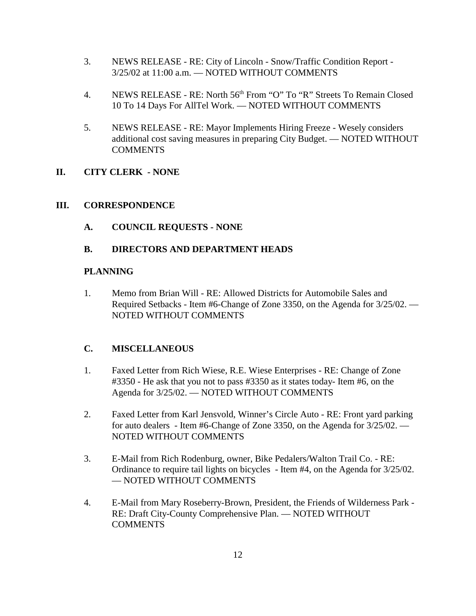- 3. NEWS RELEASE RE: City of Lincoln Snow/Traffic Condition Report 3/25/02 at 11:00 a.m. — NOTED WITHOUT COMMENTS
- 4. NEWS RELEASE RE: North 56<sup>th</sup> From "O" To "R" Streets To Remain Closed 10 To 14 Days For AllTel Work. — NOTED WITHOUT COMMENTS
- 5. NEWS RELEASE RE: Mayor Implements Hiring Freeze Wesely considers additional cost saving measures in preparing City Budget. — NOTED WITHOUT **COMMENTS**

# **II. CITY CLERK - NONE**

## **III. CORRESPONDENCE**

**A. COUNCIL REQUESTS - NONE** 

## **B. DIRECTORS AND DEPARTMENT HEADS**

## **PLANNING**

1. Memo from Brian Will - RE: Allowed Districts for Automobile Sales and Required Setbacks - Item #6-Change of Zone 3350, on the Agenda for 3/25/02. — NOTED WITHOUT COMMENTS

## **C. MISCELLANEOUS**

- 1. Faxed Letter from Rich Wiese, R.E. Wiese Enterprises RE: Change of Zone #3350 - He ask that you not to pass #3350 as it states today- Item #6, on the Agenda for 3/25/02. — NOTED WITHOUT COMMENTS
- 2. Faxed Letter from Karl Jensvold, Winner's Circle Auto RE: Front yard parking for auto dealers - Item #6-Change of Zone 3350, on the Agenda for 3/25/02. — NOTED WITHOUT COMMENTS
- 3. E-Mail from Rich Rodenburg, owner, Bike Pedalers/Walton Trail Co. RE: Ordinance to require tail lights on bicycles - Item #4, on the Agenda for 3/25/02. — NOTED WITHOUT COMMENTS
- 4. E-Mail from Mary Roseberry-Brown, President, the Friends of Wilderness Park RE: Draft City-County Comprehensive Plan. — NOTED WITHOUT **COMMENTS**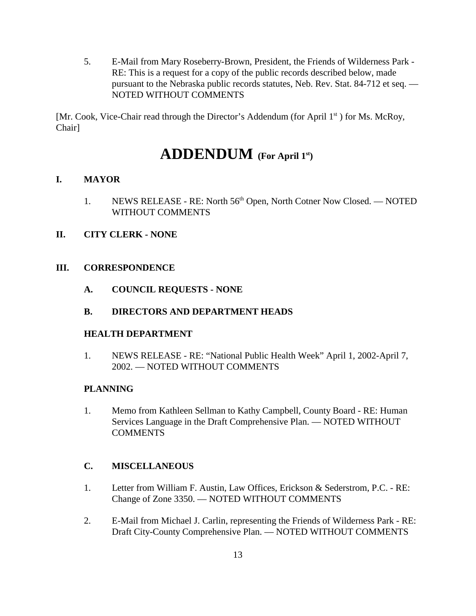5. E-Mail from Mary Roseberry-Brown, President, the Friends of Wilderness Park - RE: This is a request for a copy of the public records described below, made pursuant to the Nebraska public records statutes, Neb. Rev. Stat. 84-712 et seq. — NOTED WITHOUT COMMENTS

[Mr. Cook, Vice-Chair read through the Director's Addendum (for April  $1<sup>st</sup>$ ) for Ms. McRoy, Chair]

# **ADDENDUM (For April 1st)**

## **I. MAYOR**

1. NEWS RELEASE - RE: North 56<sup>th</sup> Open, North Cotner Now Closed. — NOTED WITHOUT COMMENTS

#### **II. CITY CLERK - NONE**

#### **III. CORRESPONDENCE**

**A. COUNCIL REQUESTS - NONE** 

#### **B. DIRECTORS AND DEPARTMENT HEADS**

#### **HEALTH DEPARTMENT**

1. NEWS RELEASE - RE: "National Public Health Week" April 1, 2002-April 7, 2002. — NOTED WITHOUT COMMENTS

#### **PLANNING**

1. Memo from Kathleen Sellman to Kathy Campbell, County Board - RE: Human Services Language in the Draft Comprehensive Plan. — NOTED WITHOUT **COMMENTS** 

## **C. MISCELLANEOUS**

- 1. Letter from William F. Austin, Law Offices, Erickson & Sederstrom, P.C. RE: Change of Zone 3350. — NOTED WITHOUT COMMENTS
- 2. E-Mail from Michael J. Carlin, representing the Friends of Wilderness Park RE: Draft City-County Comprehensive Plan. — NOTED WITHOUT COMMENTS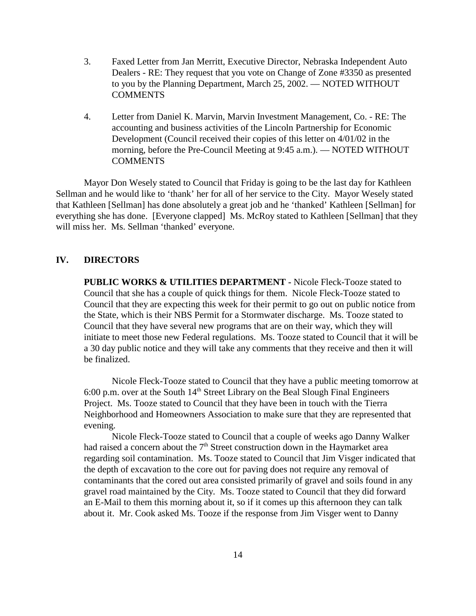- 3. Faxed Letter from Jan Merritt, Executive Director, Nebraska Independent Auto Dealers - RE: They request that you vote on Change of Zone #3350 as presented to you by the Planning Department, March 25, 2002. — NOTED WITHOUT **COMMENTS**
- 4. Letter from Daniel K. Marvin, Marvin Investment Management, Co. RE: The accounting and business activities of the Lincoln Partnership for Economic Development (Council received their copies of this letter on 4/01/02 in the morning, before the Pre-Council Meeting at 9:45 a.m.). — NOTED WITHOUT **COMMENTS**

Mayor Don Wesely stated to Council that Friday is going to be the last day for Kathleen Sellman and he would like to 'thank' her for all of her service to the City. Mayor Wesely stated that Kathleen [Sellman] has done absolutely a great job and he 'thanked' Kathleen [Sellman] for everything she has done. [Everyone clapped] Ms. McRoy stated to Kathleen [Sellman] that they will miss her. Ms. Sellman 'thanked' everyone.

#### **IV. DIRECTORS**

**PUBLIC WORKS & UTILITIES DEPARTMENT -** Nicole Fleck-Tooze stated to Council that she has a couple of quick things for them. Nicole Fleck-Tooze stated to Council that they are expecting this week for their permit to go out on public notice from the State, which is their NBS Permit for a Stormwater discharge. Ms. Tooze stated to Council that they have several new programs that are on their way, which they will initiate to meet those new Federal regulations. Ms. Tooze stated to Council that it will be a 30 day public notice and they will take any comments that they receive and then it will be finalized.

Nicole Fleck-Tooze stated to Council that they have a public meeting tomorrow at 6:00 p.m. over at the South  $14<sup>th</sup>$  Street Library on the Beal Slough Final Engineers Project. Ms. Tooze stated to Council that they have been in touch with the Tierra Neighborhood and Homeowners Association to make sure that they are represented that evening.

Nicole Fleck-Tooze stated to Council that a couple of weeks ago Danny Walker had raised a concern about the  $7<sup>th</sup>$  Street construction down in the Haymarket area regarding soil contamination. Ms. Tooze stated to Council that Jim Visger indicated that the depth of excavation to the core out for paving does not require any removal of contaminants that the cored out area consisted primarily of gravel and soils found in any gravel road maintained by the City. Ms. Tooze stated to Council that they did forward an E-Mail to them this morning about it, so if it comes up this afternoon they can talk about it. Mr. Cook asked Ms. Tooze if the response from Jim Visger went to Danny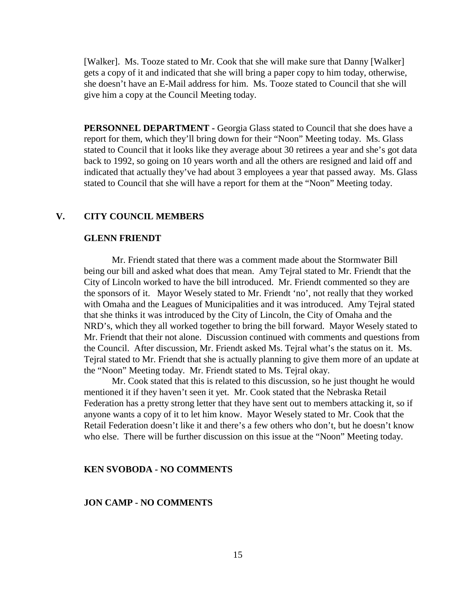[Walker]. Ms. Tooze stated to Mr. Cook that she will make sure that Danny [Walker] gets a copy of it and indicated that she will bring a paper copy to him today, otherwise, she doesn't have an E-Mail address for him. Ms. Tooze stated to Council that she will give him a copy at the Council Meeting today.

PERSONNEL DEPARTMENT - Georgia Glass stated to Council that she does have a report for them, which they'll bring down for their "Noon" Meeting today. Ms. Glass stated to Council that it looks like they average about 30 retirees a year and she's got data back to 1992, so going on 10 years worth and all the others are resigned and laid off and indicated that actually they've had about 3 employees a year that passed away. Ms. Glass stated to Council that she will have a report for them at the "Noon" Meeting today.

#### **V. CITY COUNCIL MEMBERS**

#### **GLENN FRIENDT**

Mr. Friendt stated that there was a comment made about the Stormwater Bill being our bill and asked what does that mean. Amy Tejral stated to Mr. Friendt that the City of Lincoln worked to have the bill introduced. Mr. Friendt commented so they are the sponsors of it. Mayor Wesely stated to Mr. Friendt 'no', not really that they worked with Omaha and the Leagues of Municipalities and it was introduced. Amy Tejral stated that she thinks it was introduced by the City of Lincoln, the City of Omaha and the NRD's, which they all worked together to bring the bill forward. Mayor Wesely stated to Mr. Friendt that their not alone. Discussion continued with comments and questions from the Council. After discussion, Mr. Friendt asked Ms. Tejral what's the status on it. Ms. Tejral stated to Mr. Friendt that she is actually planning to give them more of an update at the "Noon" Meeting today. Mr. Friendt stated to Ms. Tejral okay.

Mr. Cook stated that this is related to this discussion, so he just thought he would mentioned it if they haven't seen it yet. Mr. Cook stated that the Nebraska Retail Federation has a pretty strong letter that they have sent out to members attacking it, so if anyone wants a copy of it to let him know. Mayor Wesely stated to Mr. Cook that the Retail Federation doesn't like it and there's a few others who don't, but he doesn't know who else. There will be further discussion on this issue at the "Noon" Meeting today.

#### **KEN SVOBODA - NO COMMENTS**

#### **JON CAMP - NO COMMENTS**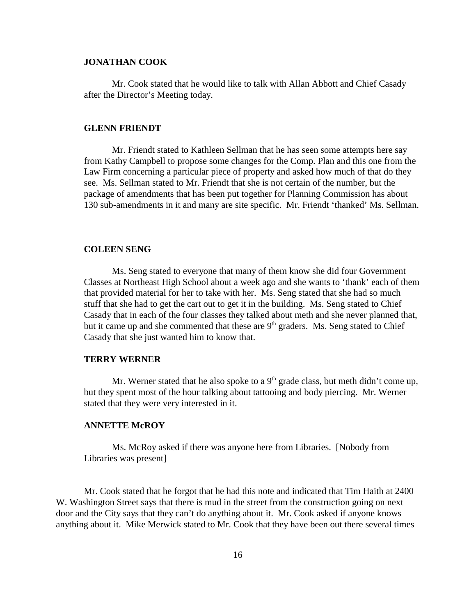#### **JONATHAN COOK**

Mr. Cook stated that he would like to talk with Allan Abbott and Chief Casady after the Director's Meeting today.

#### **GLENN FRIENDT**

Mr. Friendt stated to Kathleen Sellman that he has seen some attempts here say from Kathy Campbell to propose some changes for the Comp. Plan and this one from the Law Firm concerning a particular piece of property and asked how much of that do they see. Ms. Sellman stated to Mr. Friendt that she is not certain of the number, but the package of amendments that has been put together for Planning Commission has about 130 sub-amendments in it and many are site specific. Mr. Friendt 'thanked' Ms. Sellman.

#### **COLEEN SENG**

Ms. Seng stated to everyone that many of them know she did four Government Classes at Northeast High School about a week ago and she wants to 'thank' each of them that provided material for her to take with her. Ms. Seng stated that she had so much stuff that she had to get the cart out to get it in the building. Ms. Seng stated to Chief Casady that in each of the four classes they talked about meth and she never planned that, but it came up and she commented that these are  $9<sup>th</sup>$  graders. Ms. Seng stated to Chief Casady that she just wanted him to know that.

#### **TERRY WERNER**

Mr. Werner stated that he also spoke to a  $9<sup>th</sup>$  grade class, but meth didn't come up, but they spent most of the hour talking about tattooing and body piercing. Mr. Werner stated that they were very interested in it.

#### **ANNETTE McROY**

Ms. McRoy asked if there was anyone here from Libraries. [Nobody from Libraries was present]

Mr. Cook stated that he forgot that he had this note and indicated that Tim Haith at 2400 W. Washington Street says that there is mud in the street from the construction going on next door and the City says that they can't do anything about it. Mr. Cook asked if anyone knows anything about it. Mike Merwick stated to Mr. Cook that they have been out there several times